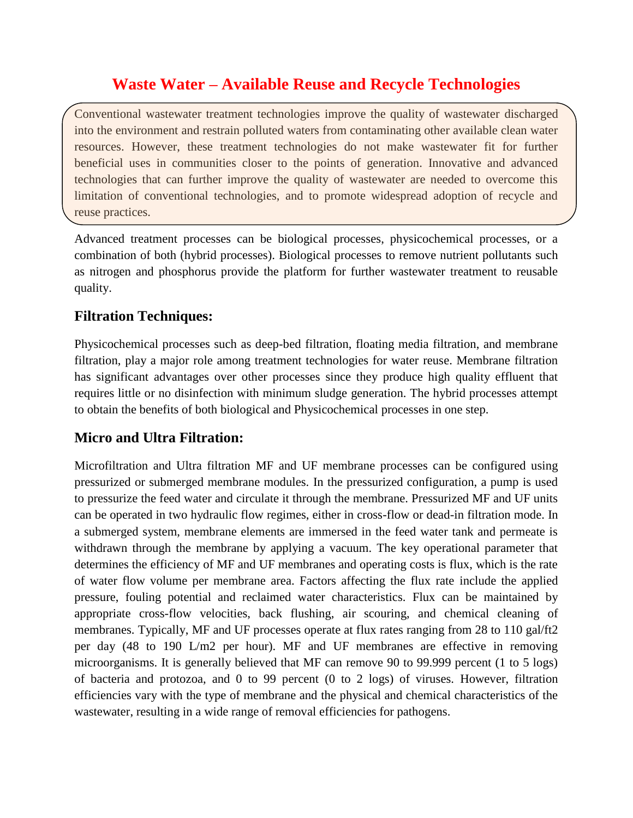## **Waste Water – Available Reuse and Recycle Technologies**

Conventional wastewater treatment technologies improve the quality of wastewater discharged into the environment and restrain polluted waters from contaminating other available clean water resources. However, these treatment technologies do not make wastewater fit for further beneficial uses in communities closer to the points of generation. Innovative and advanced technologies that can further improve the quality of wastewater are needed to overcome this limitation of conventional technologies, and to promote widespread adoption of recycle and reuse practices.

Advanced treatment processes can be biological processes, physicochemical processes, or a combination of both (hybrid processes). Biological processes to remove nutrient pollutants such as nitrogen and phosphorus provide the platform for further wastewater treatment to reusable quality.

## **Filtration Techniques:**

Physicochemical processes such as deep-bed filtration, floating media filtration, and membrane filtration, play a major role among treatment technologies for water reuse. Membrane filtration has significant advantages over other processes since they produce high quality effluent that requires little or no disinfection with minimum sludge generation. The hybrid processes attempt to obtain the benefits of both biological and Physicochemical processes in one step.

## **Micro and Ultra Filtration:**

Microfiltration and Ultra filtration MF and UF membrane processes can be configured using pressurized or submerged membrane modules. In the pressurized configuration, a pump is used to pressurize the feed water and circulate it through the membrane. Pressurized MF and UF units can be operated in two hydraulic flow regimes, either in cross-flow or dead-in filtration mode. In a submerged system, membrane elements are immersed in the feed water tank and permeate is withdrawn through the membrane by applying a vacuum. The key operational parameter that determines the efficiency of MF and UF membranes and operating costs is flux, which is the rate of water flow volume per membrane area. Factors affecting the flux rate include the applied pressure, fouling potential and reclaimed water characteristics. Flux can be maintained by appropriate cross-flow velocities, back flushing, air scouring, and chemical cleaning of membranes. Typically, MF and UF processes operate at flux rates ranging from 28 to 110 gal/ft2 per day (48 to 190 L/m2 per hour). MF and UF membranes are effective in removing microorganisms. It is generally believed that MF can remove 90 to 99.999 percent (1 to 5 logs) of bacteria and protozoa, and 0 to 99 percent (0 to 2 logs) of viruses. However, filtration efficiencies vary with the type of membrane and the physical and chemical characteristics of the wastewater, resulting in a wide range of removal efficiencies for pathogens.